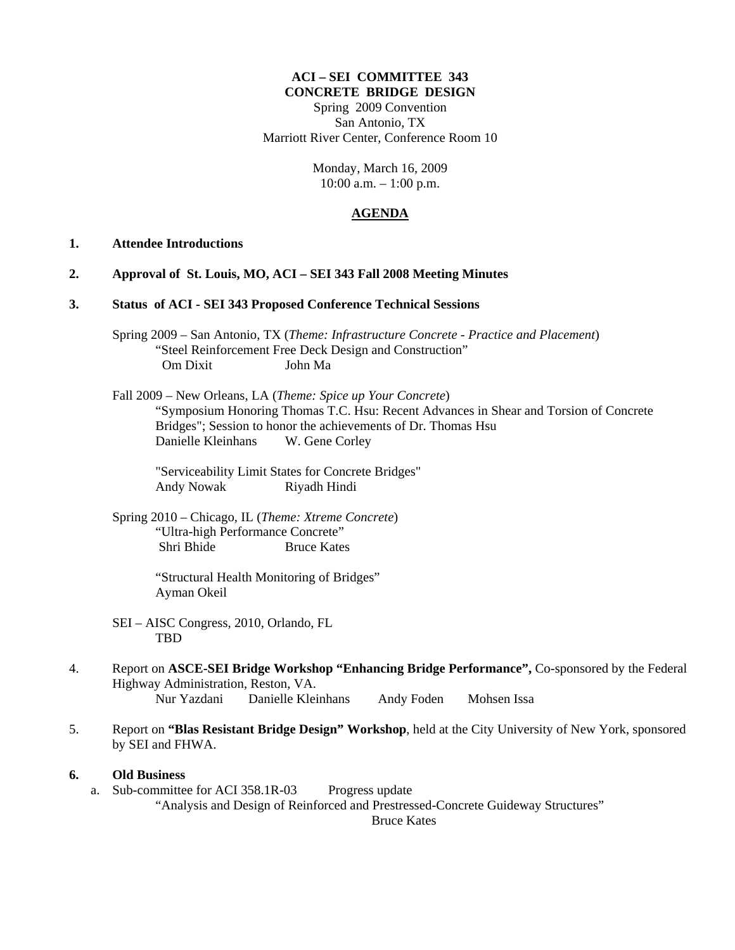#### **ACI – SEI COMMITTEE 343 CONCRETE BRIDGE DESIGN**

Spring 2009 Convention San Antonio, TX Marriott River Center, Conference Room 10

> Monday, March 16, 2009  $10:00$  a.m.  $-1:00$  p.m.

#### **AGENDA**

## **1. Attendee Introductions**

- **2. Approval of St. Louis, MO, ACI SEI 343 Fall 2008 Meeting Minutes**
- **3. Status of ACI SEI 343 Proposed Conference Technical Sessions** 
	- Spring 2009 San Antonio, TX (*Theme: Infrastructure Concrete Practice and Placement*) "Steel Reinforcement Free Deck Design and Construction" Om Dixit John Ma
	- Fall 2009 New Orleans, LA (*Theme: Spice up Your Concrete*) "Symposium Honoring Thomas T.C. Hsu: Recent Advances in Shear and Torsion of Concrete Bridges"; Session to honor the achievements of Dr. Thomas Hsu Danielle Kleinhans W. Gene Corley

 "Serviceability Limit States for Concrete Bridges" Andy Nowak Riyadh Hindi

 Spring 2010 – Chicago, IL (*Theme: Xtreme Concrete*) "Ultra-high Performance Concrete" Shri Bhide Bruce Kates

> "Structural Health Monitoring of Bridges" Ayman Okeil

- SEI AISC Congress, 2010, Orlando, FL TBD
- 4. Report on **ASCE-SEI Bridge Workshop "Enhancing Bridge Performance",** Co-sponsored by the Federal Highway Administration, Reston, VA. Nur Yazdani Danielle Kleinhans Andy Foden Mohsen Issa
- 5. Report on **"Blas Resistant Bridge Design" Workshop**, held at the City University of New York, sponsored by SEI and FHWA.

### **6. Old Business**

a. Sub-committee for ACI 358.1R-03 Progress update "Analysis and Design of Reinforced and Prestressed-Concrete Guideway Structures" Bruce Kates